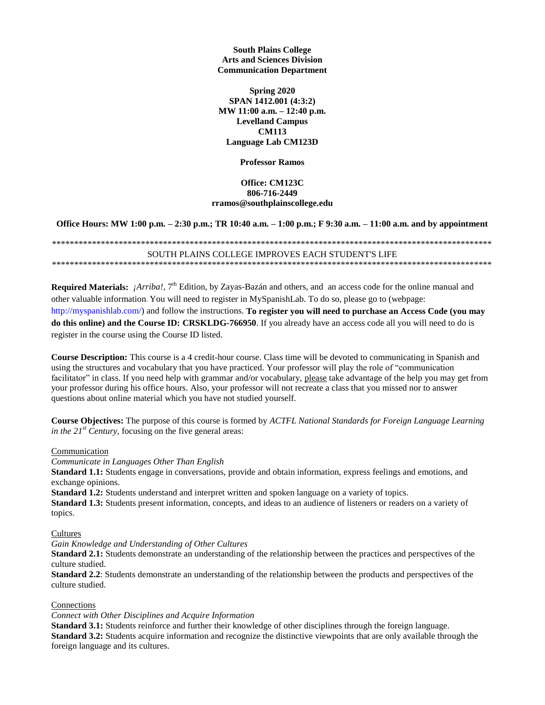## **South Plains College Arts and Sciences Division Communication Department**

**Spring 2020 SPAN 1412.001 (4:3:2) MW 11:00 a.m. – 12:40 p.m. Levelland Campus CM113 Language Lab CM123D**

**Professor Ramos**

# **Office: CM123C 806-716-2449 rramos@southplainscollege.edu**

**Office Hours: MW 1:00 p.m. – 2:30 p.m.; TR 10:40 a.m. – 1:00 p.m.; F 9:30 a.m. – 11:00 a.m. and by appointment**

# \*\*\*\*\*\*\*\*\*\*\*\*\*\*\*\*\*\*\*\*\*\*\*\*\*\*\*\*\*\*\*\*\*\*\*\*\*\*\*\*\*\*\*\*\*\*\*\*\*\*\*\*\*\*\*\*\*\*\*\*\*\*\*\*\*\*\*\*\*\*\*\*\*\*\*\*\*\*\*\*\*\*\*\*\*\*\*\*\*\*\*\*\*\*\*\*\*\*\* SOUTH PLAINS COLLEGE IMPROVES EACH STUDENT'S LIFE \*\*\*\*\*\*\*\*\*\*\*\*\*\*\*\*\*\*\*\*\*\*\*\*\*\*\*\*\*\*\*\*\*\*\*\*\*\*\*\*\*\*\*\*\*\*\*\*\*\*\*\*\*\*\*\*\*\*\*\*\*\*\*\*\*\*\*\*\*\*\*\*\*\*\*\*\*\*\*\*\*\*\*\*\*\*\*\*\*\*\*\*\*\*\*\*\*\*\*

Required Materials: *¡Arriba!,* 7<sup>th</sup> Edition, by Zayas-Bazán and others, and an access code for the online manual and other valuable information. You will need to register in MySpanishLab. To do so, please go to (webpage: http://myspanishlab.com/) and follow the instructions. **To register you will need to purchase an Access Code (you may do this online) and the Course ID: CRSKLDG-766950**. If you already have an access code all you will need to do is register in the course using the Course ID listed.

**Course Description:** This course is a 4 credit-hour course. Class time will be devoted to communicating in Spanish and using the structures and vocabulary that you have practiced. Your professor will play the role of "communication facilitator" in class. If you need help with grammar and/or vocabulary, please take advantage of the help you may get from your professor during his office hours. Also, your professor will not recreate a class that you missed nor to answer questions about online material which you have not studied yourself.

**Course Objectives:** The purpose of this course is formed by *ACTFL National Standards for Foreign Language Learning in the*  $21^{st}$  *Century*, focusing on the five general areas:

Communication

*Communicate in Languages Other Than English*

**Standard 1.1:** Students engage in conversations, provide and obtain information, express feelings and emotions, and exchange opinions.

**Standard 1.2:** Students understand and interpret written and spoken language on a variety of topics.

**Standard 1.3:** Students present information, concepts, and ideas to an audience of listeners or readers on a variety of topics.

**Cultures** 

*Gain Knowledge and Understanding of Other Cultures*

**Standard 2.1:** Students demonstrate an understanding of the relationship between the practices and perspectives of the culture studied.

**Standard 2.2**: Students demonstrate an understanding of the relationship between the products and perspectives of the culture studied.

## Connections

*Connect with Other Disciplines and Acquire Information*

**Standard 3.1:** Students reinforce and further their knowledge of other disciplines through the foreign language. **Standard 3.2:** Students acquire information and recognize the distinctive viewpoints that are only available through the foreign language and its cultures.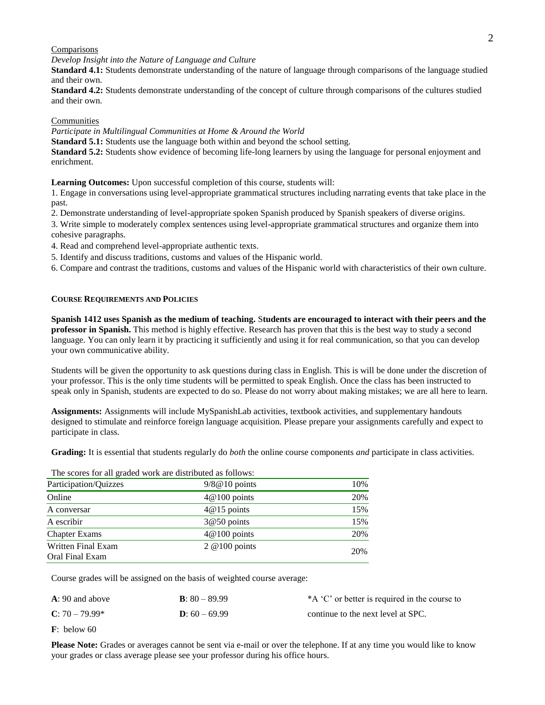# 2

#### Comparisons

*Develop Insight into the Nature of Language and Culture*

**Standard 4.1:** Students demonstrate understanding of the nature of language through comparisons of the language studied and their own.

**Standard 4.2:** Students demonstrate understanding of the concept of culture through comparisons of the cultures studied and their own.

#### Communities

*Participate in Multilingual Communities at Home & Around the World*

**Standard 5.1:** Students use the language both within and beyond the school setting.

**Standard 5.2:** Students show evidence of becoming life-long learners by using the language for personal enjoyment and enrichment.

**Learning Outcomes:** Upon successful completion of this course, students will:

1. Engage in conversations using level-appropriate grammatical structures including narrating events that take place in the past.

2. Demonstrate understanding of level-appropriate spoken Spanish produced by Spanish speakers of diverse origins.

3. Write simple to moderately complex sentences using level-appropriate grammatical structures and organize them into cohesive paragraphs.

4. Read and comprehend level-appropriate authentic texts.

5. Identify and discuss traditions, customs and values of the Hispanic world.

6. Compare and contrast the traditions, customs and values of the Hispanic world with characteristics of their own culture.

#### **COURSE REQUIREMENTS AND POLICIES**

**Spanish 1412 uses Spanish as the medium of teaching.** S**tudents are encouraged to interact with their peers and the professor in Spanish.** This method is highly effective. Research has proven that this is the best way to study a second language. You can only learn it by practicing it sufficiently and using it for real communication, so that you can develop your own communicative ability.

Students will be given the opportunity to ask questions during class in English. This is will be done under the discretion of your professor. This is the only time students will be permitted to speak English. Once the class has been instructed to speak only in Spanish, students are expected to do so. Please do not worry about making mistakes; we are all here to learn.

**Assignments:** Assignments will include MySpanishLab activities, textbook activities, and supplementary handouts designed to stimulate and reinforce foreign language acquisition. Please prepare your assignments carefully and expect to participate in class.

**Grading:** It is essential that students regularly do *both* the online course components *and* participate in class activities.

The scores for all graded work are distributed as follows:

| Participation/Quizzes | $9/8@10$ points   | 10% |
|-----------------------|-------------------|-----|
| Online                | $4@100$ points    | 20% |
| A conversar           | $4@15$ points     | 15% |
| A escribir            | 3@50 points       | 15% |
| <b>Chapter Exams</b>  | $4@100$ points    | 20% |
| Written Final Exam    | $2 \t@100$ points | 20% |
| Oral Final Exam       |                   |     |

Course grades will be assigned on the basis of weighted course average:

| $A: 90$ and above | <b>B</b> : $80 - 89.99$ | *A 'C' or better is required in the course to |
|-------------------|-------------------------|-----------------------------------------------|
| $C: 70 - 79.99*$  | <b>D</b> : $60 - 69.99$ | continue to the next level at SPC.            |

**F**: below 60

**Please Note:** Grades or averages cannot be sent via e-mail or over the telephone. If at any time you would like to know your grades or class average please see your professor during his office hours.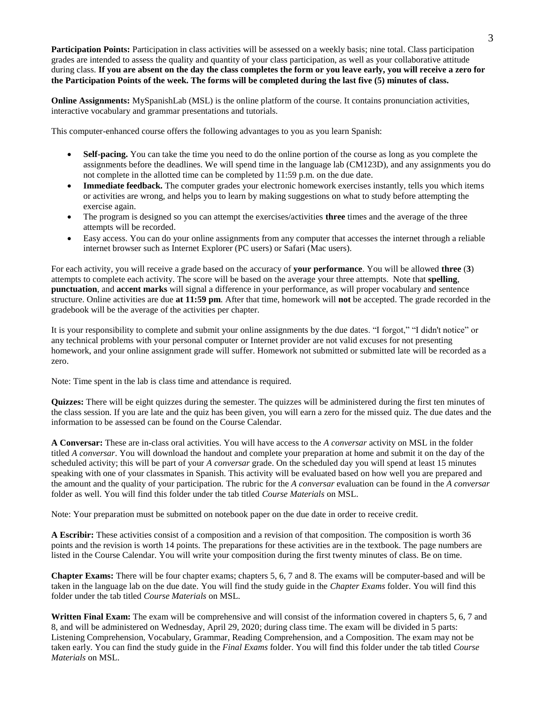**Participation Points:** Participation in class activities will be assessed on a weekly basis; nine total. Class participation grades are intended to assess the quality and quantity of your class participation, as well as your collaborative attitude during class. **If you are absent on the day the class completes the form or you leave early, you will receive a zero for the Participation Points of the week. The forms will be completed during the last five (5) minutes of class.**

**Online Assignments:** MySpanishLab (MSL) is the online platform of the course. It contains pronunciation activities, interactive vocabulary and grammar presentations and tutorials.

This computer-enhanced course offers the following advantages to you as you learn Spanish:

- **Self-pacing.** You can take the time you need to do the online portion of the course as long as you complete the assignments before the deadlines. We will spend time in the language lab (CM123D), and any assignments you do not complete in the allotted time can be completed by 11:59 p.m. on the due date.
- **Immediate feedback.** The computer grades your electronic homework exercises instantly, tells you which items or activities are wrong, and helps you to learn by making suggestions on what to study before attempting the exercise again.
- The program is designed so you can attempt the exercises/activities **three** times and the average of the three attempts will be recorded.
- Easy access. You can do your online assignments from any computer that accesses the internet through a reliable internet browser such as Internet Explorer (PC users) or Safari (Mac users).

For each activity, you will receive a grade based on the accuracy of **your performance**. You will be allowed **three** (**3**) attempts to complete each activity. The score will be based on the average your three attempts. Note that **spelling**, **punctuation**, and **accent marks** will signal a difference in your performance, as will proper vocabulary and sentence structure. Online activities are due **at 11:59 pm**. After that time, homework will **not** be accepted. The grade recorded in the gradebook will be the average of the activities per chapter.

It is your responsibility to complete and submit your online assignments by the due dates. "I forgot," "I didn't notice" or any technical problems with your personal computer or Internet provider are not valid excuses for not presenting homework, and your online assignment grade will suffer. Homework not submitted or submitted late will be recorded as a zero.

Note: Time spent in the lab is class time and attendance is required.

**Quizzes:** There will be eight quizzes during the semester. The quizzes will be administered during the first ten minutes of the class session. If you are late and the quiz has been given, you will earn a zero for the missed quiz. The due dates and the information to be assessed can be found on the Course Calendar.

**A Conversar:** These are in-class oral activities. You will have access to the *A conversar* activity on MSL in the folder titled *A conversar*. You will download the handout and complete your preparation at home and submit it on the day of the scheduled activity; this will be part of your *A conversar* grade. On the scheduled day you will spend at least 15 minutes speaking with one of your classmates in Spanish. This activity will be evaluated based on how well you are prepared and the amount and the quality of your participation. The rubric for the *A conversar* evaluation can be found in the *A conversar* folder as well. You will find this folder under the tab titled *Course Materials* on MSL.

Note: Your preparation must be submitted on notebook paper on the due date in order to receive credit.

**A Escribir:** These activities consist of a composition and a revision of that composition. The composition is worth 36 points and the revision is worth 14 points. The preparations for these activities are in the textbook. The page numbers are listed in the Course Calendar. You will write your composition during the first twenty minutes of class. Be on time.

**Chapter Exams:** There will be four chapter exams; chapters 5, 6, 7 and 8. The exams will be computer-based and will be taken in the language lab on the due date. You will find the study guide in the *Chapter Exams* folder. You will find this folder under the tab titled *Course Materials* on MSL.

**Written Final Exam:** The exam will be comprehensive and will consist of the information covered in chapters 5, 6, 7 and 8, and will be administered on Wednesday, April 29, 2020; during class time. The exam will be divided in 5 parts: Listening Comprehension, Vocabulary, Grammar, Reading Comprehension, and a Composition. The exam may not be taken early. You can find the study guide in the *Final Exams* folder. You will find this folder under the tab titled *Course Materials* on MSL.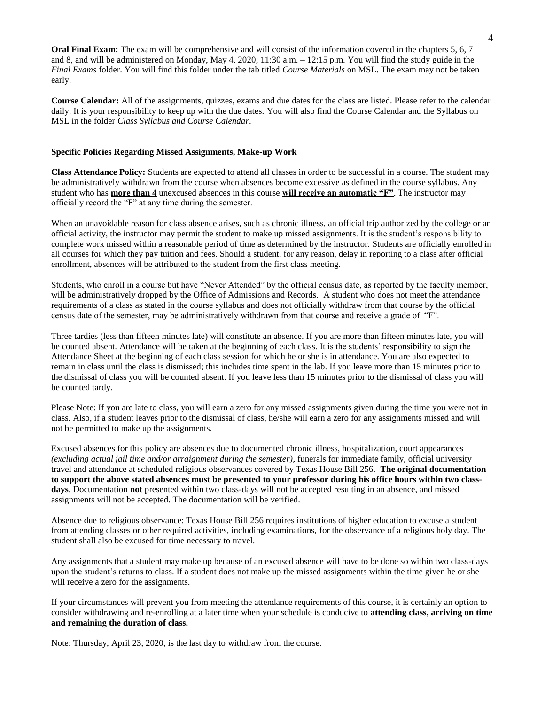**Oral Final Exam:** The exam will be comprehensive and will consist of the information covered in the chapters 5, 6, 7 and 8, and will be administered on Monday, May 4, 2020; 11:30 a.m. – 12:15 p.m. You will find the study guide in the *Final Exams* folder. You will find this folder under the tab titled *Course Materials* on MSL. The exam may not be taken early.

**Course Calendar:** All of the assignments, quizzes, exams and due dates for the class are listed. Please refer to the calendar daily. It is your responsibility to keep up with the due dates. You will also find the Course Calendar and the Syllabus on MSL in the folder *Class Syllabus and Course Calendar*.

#### **Specific Policies Regarding Missed Assignments, Make-up Work**

**Class Attendance Policy:** Students are expected to attend all classes in order to be successful in a course. The student may be administratively withdrawn from the course when absences become excessive as defined in the course syllabus. Any student who has **more than 4** unexcused absences in this course **will receive an automatic "F"**. The instructor may officially record the "F" at any time during the semester.

When an unavoidable reason for class absence arises, such as chronic illness, an official trip authorized by the college or an official activity, the instructor may permit the student to make up missed assignments. It is the student's responsibility to complete work missed within a reasonable period of time as determined by the instructor. Students are officially enrolled in all courses for which they pay tuition and fees. Should a student, for any reason, delay in reporting to a class after official enrollment, absences will be attributed to the student from the first class meeting.

Students, who enroll in a course but have "Never Attended" by the official census date, as reported by the faculty member, will be administratively dropped by the Office of Admissions and Records. A student who does not meet the attendance requirements of a class as stated in the course syllabus and does not officially withdraw from that course by the official census date of the semester, may be administratively withdrawn from that course and receive a grade of "F".

Three tardies (less than fifteen minutes late) will constitute an absence. If you are more than fifteen minutes late, you will be counted absent. Attendance will be taken at the beginning of each class. It is the students' responsibility to sign the Attendance Sheet at the beginning of each class session for which he or she is in attendance. You are also expected to remain in class until the class is dismissed; this includes time spent in the lab. If you leave more than 15 minutes prior to the dismissal of class you will be counted absent. If you leave less than 15 minutes prior to the dismissal of class you will be counted tardy.

Please Note: If you are late to class, you will earn a zero for any missed assignments given during the time you were not in class. Also, if a student leaves prior to the dismissal of class, he/she will earn a zero for any assignments missed and will not be permitted to make up the assignments.

Excused absences for this policy are absences due to documented chronic illness, hospitalization, court appearances *(excluding actual jail time and/or arraignment during the semester)*, funerals for immediate family, official university travel and attendance at scheduled religious observances covered by Texas House Bill 256. **The original documentation to support the above stated absences must be presented to your professor during his office hours within two classdays**. Documentation **not** presented within two class-days will not be accepted resulting in an absence, and missed assignments will not be accepted. The documentation will be verified.

Absence due to religious observance: Texas House Bill 256 requires institutions of higher education to excuse a student from attending classes or other required activities, including examinations, for the observance of a religious holy day. The student shall also be excused for time necessary to travel.

Any assignments that a student may make up because of an excused absence will have to be done so within two class-days upon the student's returns to class. If a student does not make up the missed assignments within the time given he or she will receive a zero for the assignments.

If your circumstances will prevent you from meeting the attendance requirements of this course, it is certainly an option to consider withdrawing and re-enrolling at a later time when your schedule is conducive to **attending class, arriving on time and remaining the duration of class.**

Note: Thursday, April 23, 2020, is the last day to withdraw from the course.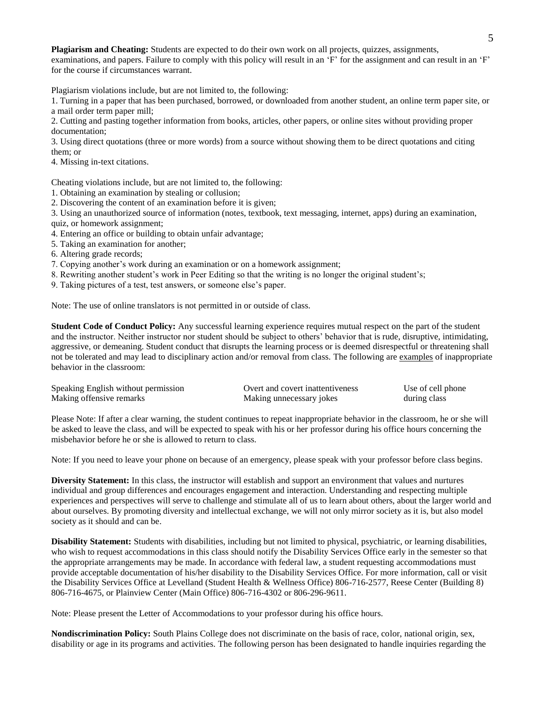**Plagiarism and Cheating:** Students are expected to do their own work on all projects, quizzes, assignments, examinations, and papers. Failure to comply with this policy will result in an 'F' for the assignment and can result in an 'F' for the course if circumstances warrant.

Plagiarism violations include, but are not limited to, the following:

1. Turning in a paper that has been purchased, borrowed, or downloaded from another student, an online term paper site, or a mail order term paper mill;

2. Cutting and pasting together information from books, articles, other papers, or online sites without providing proper documentation;

3. Using direct quotations (three or more words) from a source without showing them to be direct quotations and citing them; or

4. Missing in-text citations.

Cheating violations include, but are not limited to, the following:

1. Obtaining an examination by stealing or collusion;

2. Discovering the content of an examination before it is given;

3. Using an unauthorized source of information (notes, textbook, text messaging, internet, apps) during an examination, quiz, or homework assignment;

4. Entering an office or building to obtain unfair advantage;

5. Taking an examination for another;

6. Altering grade records;

7. Copying another's work during an examination or on a homework assignment;

8. Rewriting another student's work in Peer Editing so that the writing is no longer the original student's;

9. Taking pictures of a test, test answers, or someone else's paper.

Note: The use of online translators is not permitted in or outside of class.

**Student Code of Conduct Policy:** Any successful learning experience requires mutual respect on the part of the student and the instructor. Neither instructor nor student should be subject to others' behavior that is rude, disruptive, intimidating, aggressive, or demeaning. Student conduct that disrupts the learning process or is deemed disrespectful or threatening shall not be tolerated and may lead to disciplinary action and/or removal from class. The following are examples of inappropriate behavior in the classroom:

| Speaking English without permission | Overt and covert inattentiveness | Use of cell phone |
|-------------------------------------|----------------------------------|-------------------|
| Making offensive remarks            | Making unnecessary jokes         | during class      |

Please Note: If after a clear warning, the student continues to repeat inappropriate behavior in the classroom, he or she will be asked to leave the class, and will be expected to speak with his or her professor during his office hours concerning the misbehavior before he or she is allowed to return to class.

Note: If you need to leave your phone on because of an emergency, please speak with your professor before class begins.

**Diversity Statement:** In this class, the instructor will establish and support an environment that values and nurtures individual and group differences and encourages engagement and interaction. Understanding and respecting multiple experiences and perspectives will serve to challenge and stimulate all of us to learn about others, about the larger world and about ourselves. By promoting diversity and intellectual exchange, we will not only mirror society as it is, but also model society as it should and can be.

**Disability Statement:** Students with disabilities, including but not limited to physical, psychiatric, or learning disabilities, who wish to request accommodations in this class should notify the Disability Services Office early in the semester so that the appropriate arrangements may be made. In accordance with federal law, a student requesting accommodations must provide acceptable documentation of his/her disability to the Disability Services Office. For more information, call or visit the Disability Services Office at Levelland (Student Health & Wellness Office) 806-716-2577, Reese Center (Building 8) 806-716-4675, or Plainview Center (Main Office) 806-716-4302 or 806-296-9611.

Note: Please present the Letter of Accommodations to your professor during his office hours.

**Nondiscrimination Policy:** South Plains College does not discriminate on the basis of race, color, national origin, sex, disability or age in its programs and activities. The following person has been designated to handle inquiries regarding the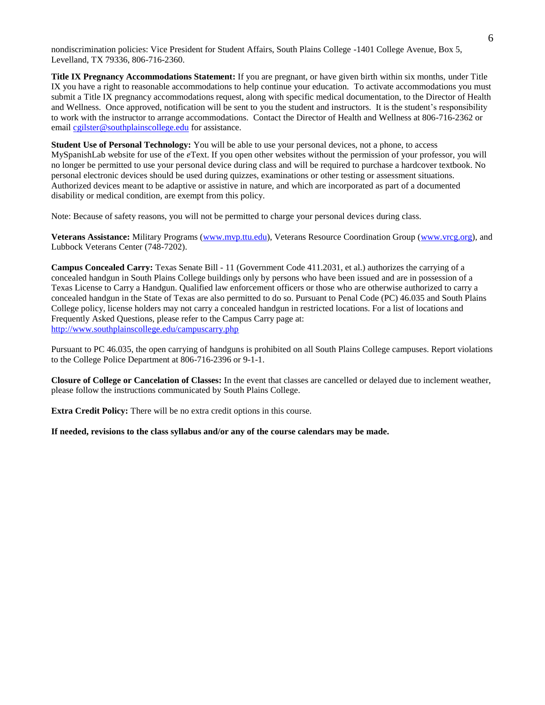nondiscrimination policies: Vice President for Student Affairs, South Plains College -1401 College Avenue, Box 5, Levelland, TX 79336, 806-716-2360.

**Title IX Pregnancy Accommodations Statement:** If you are pregnant, or have given birth within six months, under Title IX you have a right to reasonable accommodations to help continue your education. To activate accommodations you must submit a Title IX pregnancy accommodations request, along with specific medical documentation, to the Director of Health and Wellness. Once approved, notification will be sent to you the student and instructors. It is the student's responsibility to work with the instructor to arrange accommodations. Contact the Director of Health and Wellness at 806-716-2362 or email [cgilster@southplainscollege.edu](mailto:cgilster@southplainscollege.edu) for assistance.

**Student Use of Personal Technology:** You will be able to use your personal devices, not a phone, to access MySpanishLab website for use of the *e*Text. If you open other websites without the permission of your professor, you will no longer be permitted to use your personal device during class and will be required to purchase a hardcover textbook. No personal electronic devices should be used during quizzes, examinations or other testing or assessment situations. Authorized devices meant to be adaptive or assistive in nature, and which are incorporated as part of a documented disability or medical condition, are exempt from this policy.

Note: Because of safety reasons, you will not be permitted to charge your personal devices during class.

**Veterans Assistance:** Military Programs [\(www.mvp.ttu.edu\)](http://www.mvp.ttu.edu/), Veterans Resource Coordination Group [\(www.vrcg.org\)](http://www.vrcg.org/), and Lubbock Veterans Center (748-7202).

**Campus Concealed Carry:** Texas Senate Bill - 11 (Government Code 411.2031, et al.) authorizes the carrying of a concealed handgun in South Plains College buildings only by persons who have been issued and are in possession of a Texas License to Carry a Handgun. Qualified law enforcement officers or those who are otherwise authorized to carry a concealed handgun in the State of Texas are also permitted to do so. Pursuant to Penal Code (PC) 46.035 and South Plains College policy, license holders may not carry a concealed handgun in restricted locations. For a list of locations and Frequently Asked Questions, please refer to the Campus Carry page at: <http://www.southplainscollege.edu/campuscarry.php>

Pursuant to PC 46.035, the open carrying of handguns is prohibited on all South Plains College campuses. Report violations to the College Police Department at 806-716-2396 or 9-1-1.

**Closure of College or Cancelation of Classes:** In the event that classes are cancelled or delayed due to inclement weather, please follow the instructions communicated by South Plains College.

**Extra Credit Policy:** There will be no extra credit options in this course.

**If needed, revisions to the class syllabus and/or any of the course calendars may be made.**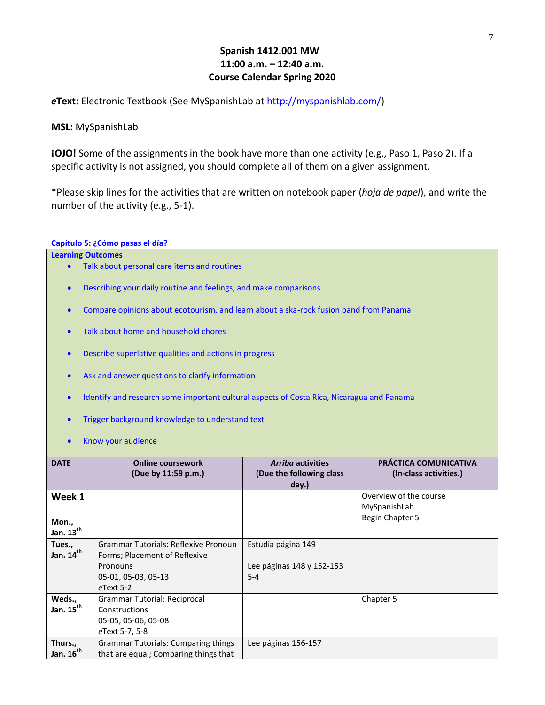# **Spanish 1412.001 MW 11:00 a.m. – 12:40 a.m. Course Calendar Spring 2020**

*e***Text:** Electronic Textbook (See MySpanishLab at [http://myspanishlab.com/\)](http://myspanishlab.com/)

**MSL:** MySpanishLab

**¡OJO!** Some of the assignments in the book have more than one activity (e.g., Paso 1, Paso 2). If a specific activity is not assigned, you should complete all of them on a given assignment.

\*Please skip lines for the activities that are written on notebook paper (*hoja de papel*), and write the number of the activity (e.g., 5-1).

#### **Capítulo 5: ¿Cómo pasas el día?**

**Learning Outcomes** 

- Talk about personal care items and routines
- Describing your daily routine and feelings, and make comparisons
- Compare opinions about ecotourism, and learn about a ska-rock fusion band from Panama
- Talk about home and household chores
- Describe superlative qualities and actions in progress
- Ask and answer questions to clarify information
- Identify and research some important cultural aspects of Costa Rica, Nicaragua and Panama
- **•** Trigger background knowledge to understand text
- Know your audience

| <b>DATE</b>           | <b>Online coursework</b><br>(Due by 11:59 p.m.) | <b>Arriba activities</b><br>(Due the following class | <b>PRÁCTICA COMUNICATIVA</b><br>(In-class activities.) |
|-----------------------|-------------------------------------------------|------------------------------------------------------|--------------------------------------------------------|
| Week 1                |                                                 | day.)                                                | Overview of the course                                 |
|                       |                                                 |                                                      | MySpanishLab                                           |
|                       |                                                 |                                                      | Begin Chapter 5                                        |
| Mon.,                 |                                                 |                                                      |                                                        |
| Jan. $13th$           |                                                 |                                                      |                                                        |
| Tues.,                | <b>Grammar Tutorials: Reflexive Pronoun</b>     | Estudia página 149                                   |                                                        |
| Jan. 14 <sup>th</sup> | Forms; Placement of Reflexive                   |                                                      |                                                        |
|                       | Pronouns                                        | Lee páginas 148 y 152-153                            |                                                        |
|                       | 05-01, 05-03, 05-13                             | $5-4$                                                |                                                        |
|                       | $e$ Text 5-2                                    |                                                      |                                                        |
| Weds.,                | Grammar Tutorial: Reciprocal                    |                                                      | Chapter 5                                              |
| Jan. $15^{\text{th}}$ | Constructions                                   |                                                      |                                                        |
|                       | 05-05, 05-06, 05-08                             |                                                      |                                                        |
|                       | eText 5-7, 5-8                                  |                                                      |                                                        |
| Thurs.,               | <b>Grammar Tutorials: Comparing things</b>      | Lee páginas 156-157                                  |                                                        |
| Jan. $16^{th}$        | that are equal; Comparing things that           |                                                      |                                                        |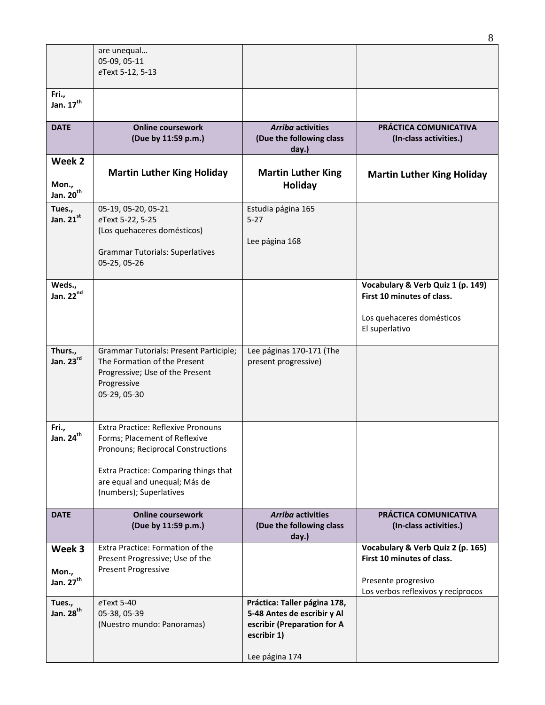|                                 | are unequal<br>05-09, 05-11<br>eText 5-12, 5-13                                                                                                                                     |                                                                                                                             |                                                                 |
|---------------------------------|-------------------------------------------------------------------------------------------------------------------------------------------------------------------------------------|-----------------------------------------------------------------------------------------------------------------------------|-----------------------------------------------------------------|
|                                 |                                                                                                                                                                                     |                                                                                                                             |                                                                 |
| Fri.,<br>Jan. 17 <sup>th</sup>  |                                                                                                                                                                                     |                                                                                                                             |                                                                 |
| <b>DATE</b>                     | <b>Online coursework</b><br>(Due by 11:59 p.m.)                                                                                                                                     | <b>Arriba activities</b><br>(Due the following class<br>day.)                                                               | PRÁCTICA COMUNICATIVA<br>(In-class activities.)                 |
| Week 2                          | <b>Martin Luther King Holiday</b>                                                                                                                                                   | <b>Martin Luther King</b>                                                                                                   | <b>Martin Luther King Holiday</b>                               |
| Mon.,<br>Jan. 20 <sup>th</sup>  |                                                                                                                                                                                     | <b>Holiday</b>                                                                                                              |                                                                 |
| Tues.,                          | 05-19, 05-20, 05-21                                                                                                                                                                 | Estudia página 165                                                                                                          |                                                                 |
| Jan. $21^{st}$                  | eText 5-22, 5-25<br>(Los quehaceres domésticos)                                                                                                                                     | $5 - 27$                                                                                                                    |                                                                 |
|                                 | <b>Grammar Tutorials: Superlatives</b><br>05-25, 05-26                                                                                                                              | Lee página 168                                                                                                              |                                                                 |
| Weds.,<br>Jan. 22nd             |                                                                                                                                                                                     |                                                                                                                             | Vocabulary & Verb Quiz 1 (p. 149)<br>First 10 minutes of class. |
|                                 |                                                                                                                                                                                     |                                                                                                                             | Los quehaceres domésticos<br>El superlativo                     |
| Thurs.,<br>Jan. 23rd            | Grammar Tutorials: Present Participle;<br>The Formation of the Present<br>Progressive; Use of the Present<br>Progressive<br>05-29, 05-30                                            | Lee páginas 170-171 (The<br>present progressive)                                                                            |                                                                 |
| Fri.,<br>Jan. 24 <sup>th</sup>  | Extra Practice: Reflexive Pronouns<br>Forms; Placement of Reflexive<br>Pronouns; Reciprocal Constructions<br>Extra Practice: Comparing things that<br>are equal and unequal; Más de |                                                                                                                             |                                                                 |
|                                 | (numbers); Superlatives                                                                                                                                                             |                                                                                                                             |                                                                 |
| <b>DATE</b>                     | <b>Online coursework</b><br>(Due by 11:59 p.m.)                                                                                                                                     | <b>Arriba activities</b><br>(Due the following class<br>day.)                                                               | PRÁCTICA COMUNICATIVA<br>(In-class activities.)                 |
| Week 3                          | Extra Practice: Formation of the                                                                                                                                                    |                                                                                                                             | Vocabulary & Verb Quiz 2 (p. 165)                               |
| Mon.,                           | Present Progressive; Use of the<br><b>Present Progressive</b>                                                                                                                       |                                                                                                                             | First 10 minutes of class.                                      |
| Jan. 27 <sup>th</sup>           |                                                                                                                                                                                     |                                                                                                                             | Presente progresivo<br>Los verbos reflexivos y recíprocos       |
| Tues.,<br>Jan. 28 <sup>th</sup> | eText 5-40<br>05-38, 05-39<br>(Nuestro mundo: Panoramas)                                                                                                                            | Práctica: Taller página 178,<br>5-48 Antes de escribir y Al<br>escribir (Preparation for A<br>escribir 1)<br>Lee página 174 |                                                                 |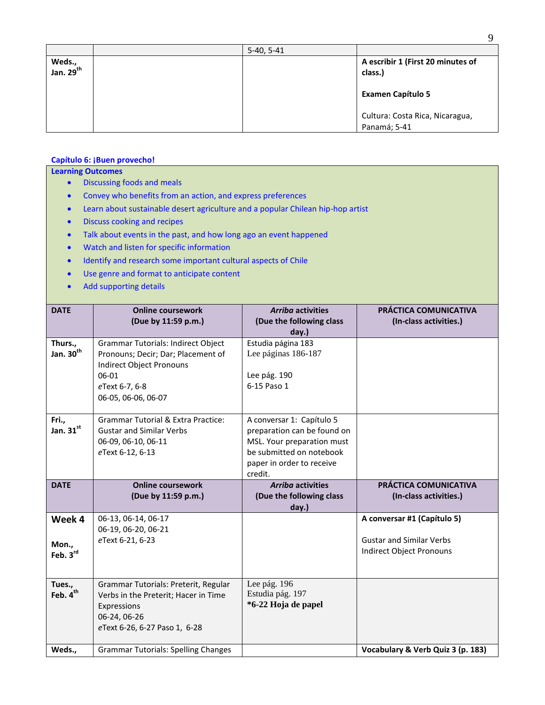|                                 | $5-40, 5-41$ |                                                 |
|---------------------------------|--------------|-------------------------------------------------|
| Weds.,<br>Jan. 29 <sup>th</sup> |              | A escribir 1 (First 20 minutes of<br>class.)    |
|                                 |              | <b>Examen Capítulo 5</b>                        |
|                                 |              | Cultura: Costa Rica, Nicaragua,<br>Panamá; 5-41 |

# **Capítulo 6: ¡Buen provecho!**

- **Learning Outcomes** 
	- Discussing foods and meals
	- Convey who benefits from an action, and express preferences
	- Learn about sustainable desert agriculture and a popular Chilean hip-hop artist
	- **•** Discuss cooking and recipes
	- Talk about events in the past, and how long ago an event happened
	- Watch and listen for specific information
	- Identify and research some important cultural aspects of Chile
	- Use genre and format to anticipate content
	- Add supporting details

| <b>DATE</b>                      | <b>Online coursework</b><br>(Due by 11:59 p.m.)                                                                                                               | <b>Arriba activities</b><br>(Due the following class<br>day.)                                                                                              | PRÁCTICA COMUNICATIVA<br>(In-class activities.)                                            |
|----------------------------------|---------------------------------------------------------------------------------------------------------------------------------------------------------------|------------------------------------------------------------------------------------------------------------------------------------------------------------|--------------------------------------------------------------------------------------------|
| Thurs.,<br>Jan. 30 <sup>th</sup> | <b>Grammar Tutorials: Indirect Object</b><br>Pronouns; Decir; Dar; Placement of<br>Indirect Object Pronouns<br>06-01<br>eText 6-7, 6-8<br>06-05, 06-06, 06-07 | Estudia página 183<br>Lee páginas 186-187<br>Lee pág. 190<br>6-15 Paso 1                                                                                   |                                                                                            |
| Fri.,<br>Jan. $31^{st}$          | <b>Grammar Tutorial &amp; Extra Practice:</b><br><b>Gustar and Similar Verbs</b><br>06-09, 06-10, 06-11<br>eText 6-12, 6-13                                   | A conversar 1: Capítulo 5<br>preparation can be found on<br>MSL. Your preparation must<br>be submitted on notebook<br>paper in order to receive<br>credit. |                                                                                            |
| <b>DATE</b>                      | <b>Online coursework</b><br>(Due by 11:59 p.m.)                                                                                                               | <b>Arriba activities</b><br>(Due the following class<br>day.)                                                                                              | PRÁCTICA COMUNICATIVA<br>(In-class activities.)                                            |
| Week 4<br>Mon.,<br>Feb. 3rd      | 06-13, 06-14, 06-17<br>06-19, 06-20, 06-21<br>eText 6-21, 6-23                                                                                                |                                                                                                                                                            | A conversar #1 (Capítulo 5)<br><b>Gustar and Similar Verbs</b><br>Indirect Object Pronouns |
| Tues.,<br>Feb. 4 <sup>th</sup>   | Grammar Tutorials: Preterit, Regular<br>Verbs in the Preterit; Hacer in Time<br>Expressions<br>06-24, 06-26<br>eText 6-26, 6-27 Paso 1, 6-28                  | Lee pág. 196<br>Estudia pág. 197<br>*6-22 Hoja de papel                                                                                                    |                                                                                            |
| Weds.,                           | <b>Grammar Tutorials: Spelling Changes</b>                                                                                                                    |                                                                                                                                                            | Vocabulary & Verb Quiz 3 (p. 183)                                                          |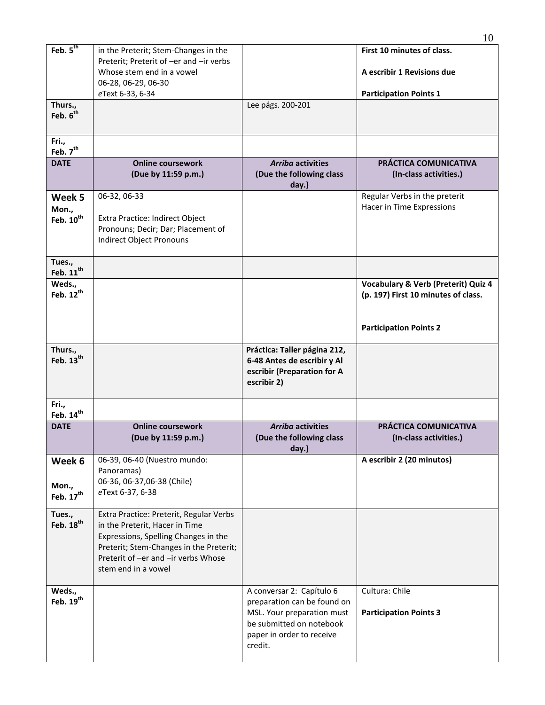| Feb. $5th$<br>Thurs.,                    | in the Preterit; Stem-Changes in the<br>Preterit; Preterit of -er and -ir verbs<br>Whose stem end in a vowel<br>06-28, 06-29, 06-30<br>eText 6-33, 6-34                                                                    | Lee págs. 200-201                                                                                                                                          | First 10 minutes of class.<br>A escribir 1 Revisions due<br><b>Participation Points 1</b> |
|------------------------------------------|----------------------------------------------------------------------------------------------------------------------------------------------------------------------------------------------------------------------------|------------------------------------------------------------------------------------------------------------------------------------------------------------|-------------------------------------------------------------------------------------------|
| Feb. 6 <sup>th</sup>                     |                                                                                                                                                                                                                            |                                                                                                                                                            |                                                                                           |
| Fri.,<br>Feb. 7 <sup>th</sup>            |                                                                                                                                                                                                                            |                                                                                                                                                            |                                                                                           |
| <b>DATE</b>                              | <b>Online coursework</b><br>(Due by 11:59 p.m.)                                                                                                                                                                            | <b>Arriba activities</b><br>(Due the following class<br>day.)                                                                                              | PRÁCTICA COMUNICATIVA<br>(In-class activities.)                                           |
| Week 5<br>Mon.,<br>Feb. 10 <sup>th</sup> | 06-32, 06-33<br>Extra Practice: Indirect Object<br>Pronouns; Decir; Dar; Placement of<br>Indirect Object Pronouns                                                                                                          |                                                                                                                                                            | Regular Verbs in the preterit<br>Hacer in Time Expressions                                |
| Tues.,<br>Feb. $11^{th}$                 |                                                                                                                                                                                                                            |                                                                                                                                                            |                                                                                           |
| Weds.,<br>Feb. 12 <sup>th</sup>          |                                                                                                                                                                                                                            |                                                                                                                                                            | <b>Vocabulary &amp; Verb (Preterit) Quiz 4</b><br>(p. 197) First 10 minutes of class.     |
|                                          |                                                                                                                                                                                                                            |                                                                                                                                                            | <b>Participation Points 2</b>                                                             |
| Thurs.,<br>Feb. 13 <sup>th</sup>         |                                                                                                                                                                                                                            | Práctica: Taller página 212,<br>6-48 Antes de escribir y Al<br>escribir (Preparation for A<br>escribir 2)                                                  |                                                                                           |
| Fri.,<br>Feb. 14 <sup>th</sup>           |                                                                                                                                                                                                                            |                                                                                                                                                            |                                                                                           |
| <b>DATE</b>                              | <b>Online coursework</b><br>(Due by 11:59 p.m.)                                                                                                                                                                            | <b>Arriba activities</b><br>(Due the following class<br>day.)                                                                                              | PRÁCTICA COMUNICATIVA<br>(In-class activities.)                                           |
| Week 6<br>Mon.,<br>Feb. 17 <sup>th</sup> | 06-39, 06-40 (Nuestro mundo:<br>Panoramas)<br>06-36, 06-37,06-38 (Chile)<br>eText 6-37, 6-38                                                                                                                               |                                                                                                                                                            | A escribir 2 (20 minutos)                                                                 |
| Tues.,<br>Feb. 18 <sup>th</sup>          | Extra Practice: Preterit, Regular Verbs<br>in the Preterit, Hacer in Time<br>Expressions, Spelling Changes in the<br>Preterit; Stem-Changes in the Preterit;<br>Preterit of -er and -ir verbs Whose<br>stem end in a vowel |                                                                                                                                                            |                                                                                           |
| Weds.,<br>Feb. 19 <sup>th</sup>          |                                                                                                                                                                                                                            | A conversar 2: Capítulo 6<br>preparation can be found on<br>MSL. Your preparation must<br>be submitted on notebook<br>paper in order to receive<br>credit. | Cultura: Chile<br><b>Participation Points 3</b>                                           |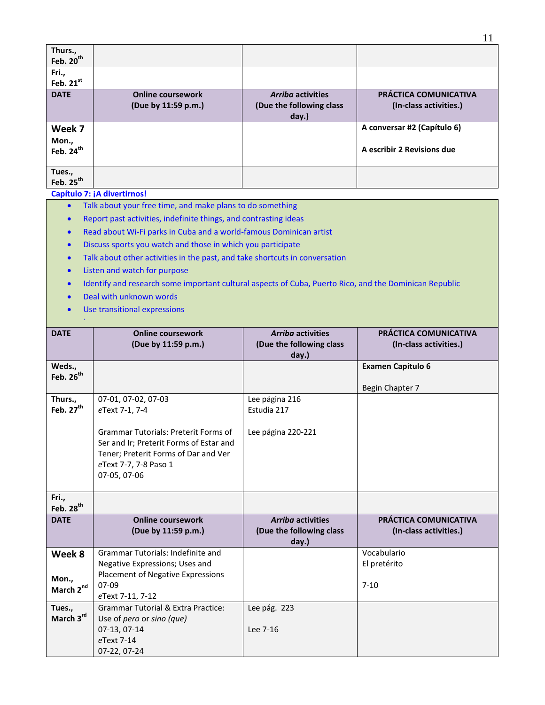| Thurs.,<br>Feb. 20 <sup>th</sup> |                                                 |                                                               |                                                           |
|----------------------------------|-------------------------------------------------|---------------------------------------------------------------|-----------------------------------------------------------|
| Fri.,<br>Feb. $21^{st}$          |                                                 |                                                               |                                                           |
| <b>DATE</b>                      | <b>Online coursework</b><br>(Due by 11:59 p.m.) | <b>Arriba activities</b><br>(Due the following class<br>day.) | PRÁCTICA COMUNICATIVA<br>(In-class activities.)           |
| Week 7<br>Mon.,<br>Feb. $24th$   |                                                 |                                                               | A conversar #2 (Capítulo 6)<br>A escribir 2 Revisions due |
| Tues.,<br>Feb. $25^{\text{th}}$  |                                                 |                                                               |                                                           |

**Capítulo 7: ¡A divertirnos!**

- Talk about your free time, and make plans to do something
- Report past activities, indefinite things, and contrasting ideas
- Read about Wi-Fi parks in Cuba and a world-famous Dominican artist
- Discuss sports you watch and those in which you participate
- Talk about other activities in the past, and take shortcuts in conversation
- Listen and watch for purpose
- Identify and research some important cultural aspects of Cuba, Puerto Rico, and the Dominican Republic
- Deal with unknown words
- Use transitional expressions

| <b>DATE</b>           | <b>Online coursework</b>                      | <b>Arriba activities</b> | PRÁCTICA COMUNICATIVA    |
|-----------------------|-----------------------------------------------|--------------------------|--------------------------|
|                       | (Due by 11:59 p.m.)                           | (Due the following class | (In-class activities.)   |
|                       |                                               | day.)                    |                          |
| Weds.,                |                                               |                          | <b>Examen Capítulo 6</b> |
| Feb. 26 <sup>th</sup> |                                               |                          |                          |
|                       |                                               |                          | Begin Chapter 7          |
| Thurs.,               | 07-01, 07-02, 07-03                           | Lee página 216           |                          |
| Feb. 27 <sup>th</sup> | eText 7-1, 7-4                                | Estudia 217              |                          |
|                       |                                               |                          |                          |
|                       | <b>Grammar Tutorials: Preterit Forms of</b>   | Lee página 220-221       |                          |
|                       | Ser and Ir; Preterit Forms of Estar and       |                          |                          |
|                       | Tener; Preterit Forms of Dar and Ver          |                          |                          |
|                       | eText 7-7, 7-8 Paso 1                         |                          |                          |
|                       | 07-05, 07-06                                  |                          |                          |
|                       |                                               |                          |                          |
| Fri.,<br>Feb. $28th$  |                                               |                          |                          |
| <b>DATE</b>           | <b>Online coursework</b>                      | <b>Arriba activities</b> | PRÁCTICA COMUNICATIVA    |
|                       |                                               |                          |                          |
|                       | (Due by 11:59 p.m.)                           | (Due the following class | (In-class activities.)   |
|                       | Grammar Tutorials: Indefinite and             | day.)                    | Vocabulario              |
| Week 8                | Negative Expressions; Uses and                |                          | El pretérito             |
|                       | Placement of Negative Expressions             |                          |                          |
| Mon.,                 | $07-09$                                       |                          | $7 - 10$                 |
| March 2nd             | eText 7-11, 7-12                              |                          |                          |
| Tues.,                | <b>Grammar Tutorial &amp; Extra Practice:</b> | Lee pág. 223             |                          |
| March 3rd             | Use of pero or sino (que)                     |                          |                          |
|                       | 07-13, 07-14                                  | Lee 7-16                 |                          |
|                       | eText 7-14                                    |                          |                          |
|                       | 07-22, 07-24                                  |                          |                          |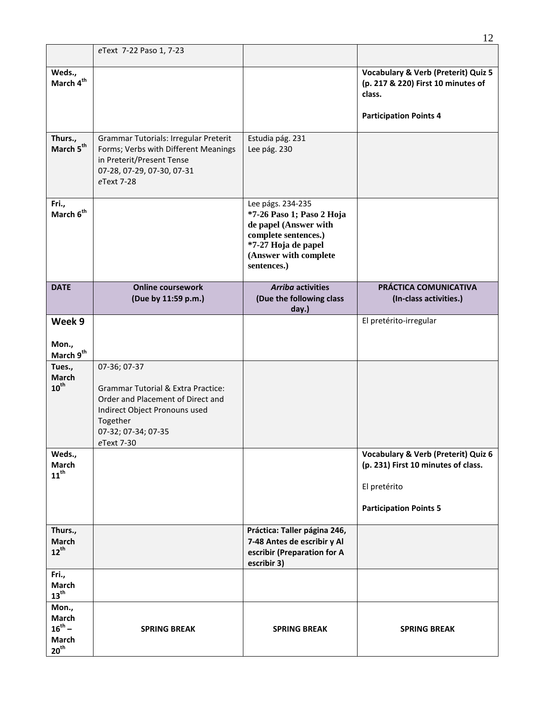|                                                            | eText 7-22 Paso 1, 7-23                                                                                                                                                              |                                                                                                                                                                |                                                                                                                                        |
|------------------------------------------------------------|--------------------------------------------------------------------------------------------------------------------------------------------------------------------------------------|----------------------------------------------------------------------------------------------------------------------------------------------------------------|----------------------------------------------------------------------------------------------------------------------------------------|
| Weds.,<br>March $\boldsymbol{4}^{\text{th}}$               |                                                                                                                                                                                      |                                                                                                                                                                | <b>Vocabulary &amp; Verb (Preterit) Quiz 5</b><br>(p. 217 & 220) First 10 minutes of<br>class.<br><b>Participation Points 4</b>        |
| Thurs.,<br>March 5 <sup>th</sup>                           | Grammar Tutorials: Irregular Preterit<br>Forms; Verbs with Different Meanings<br>in Preterit/Present Tense<br>07-28, 07-29, 07-30, 07-31<br>eText 7-28                               | Estudia pág. 231<br>Lee pág. 230                                                                                                                               |                                                                                                                                        |
| Fri.,<br>March 6 <sup>th</sup>                             |                                                                                                                                                                                      | Lee págs. 234-235<br>*7-26 Paso 1; Paso 2 Hoja<br>de papel (Answer with<br>complete sentences.)<br>*7-27 Hoja de papel<br>(Answer with complete<br>sentences.) |                                                                                                                                        |
| <b>DATE</b>                                                | <b>Online coursework</b><br>(Due by 11:59 p.m.)                                                                                                                                      | <b>Arriba activities</b><br>(Due the following class<br>day.)                                                                                                  | PRÁCTICA COMUNICATIVA<br>(In-class activities.)                                                                                        |
| Week 9                                                     |                                                                                                                                                                                      |                                                                                                                                                                | El pretérito-irregular                                                                                                                 |
| Mon.,<br>March 9 <sup>th</sup>                             |                                                                                                                                                                                      |                                                                                                                                                                |                                                                                                                                        |
| Tues.,<br><b>March</b><br>$10^{\text{th}}$                 | 07-36; 07-37<br><b>Grammar Tutorial &amp; Extra Practice:</b><br>Order and Placement of Direct and<br>Indirect Object Pronouns used<br>Together<br>07-32; 07-34; 07-35<br>eText 7-30 |                                                                                                                                                                |                                                                                                                                        |
| Weds.,<br><b>March</b><br>$11^{th}$                        |                                                                                                                                                                                      |                                                                                                                                                                | <b>Vocabulary &amp; Verb (Preterit) Quiz 6</b><br>(p. 231) First 10 minutes of class.<br>El pretérito<br><b>Participation Points 5</b> |
| Thurs.,<br>March<br>$12^{th}$                              |                                                                                                                                                                                      | Práctica: Taller página 246,<br>7-48 Antes de escribir y Al<br>escribir (Preparation for A<br>escribir 3)                                                      |                                                                                                                                        |
| Fri.,<br>March<br>$13^{th}$                                |                                                                                                                                                                                      |                                                                                                                                                                |                                                                                                                                        |
| Mon.,<br>March<br>$16^{th} -$<br>March<br>20 <sup>th</sup> | <b>SPRING BREAK</b>                                                                                                                                                                  | <b>SPRING BREAK</b>                                                                                                                                            | <b>SPRING BREAK</b>                                                                                                                    |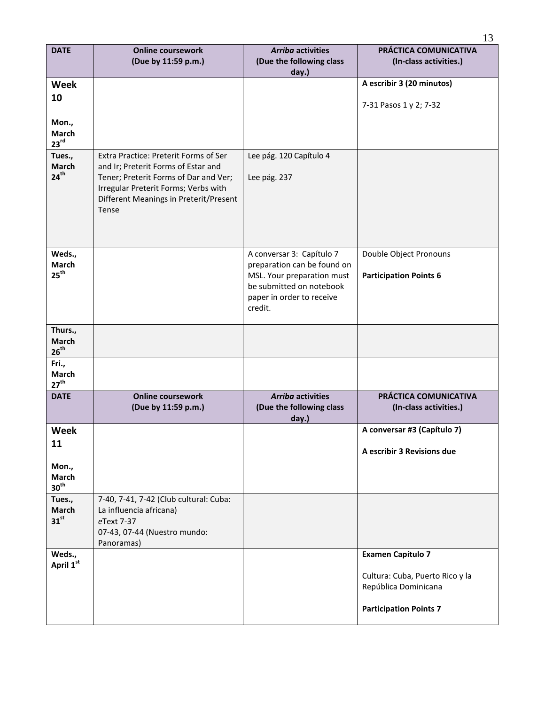| <b>DATE</b>                                | <b>Online coursework</b><br>(Due by 11:59 p.m.)                                                                                                                                                                  | <b>Arriba activities</b><br>(Due the following class<br>day.)                                                                                              | PRÁCTICA COMUNICATIVA<br>(In-class activities.)                                          |
|--------------------------------------------|------------------------------------------------------------------------------------------------------------------------------------------------------------------------------------------------------------------|------------------------------------------------------------------------------------------------------------------------------------------------------------|------------------------------------------------------------------------------------------|
| <b>Week</b>                                |                                                                                                                                                                                                                  |                                                                                                                                                            | A escribir 3 (20 minutos)                                                                |
| 10                                         |                                                                                                                                                                                                                  |                                                                                                                                                            | 7-31 Pasos 1 y 2; 7-32                                                                   |
| Mon.,<br>March<br>23 <sup>rd</sup>         |                                                                                                                                                                                                                  |                                                                                                                                                            |                                                                                          |
| Tues.,<br><b>March</b><br>24 <sup>th</sup> | Extra Practice: Preterit Forms of Ser<br>and Ir; Preterit Forms of Estar and<br>Tener; Preterit Forms of Dar and Ver;<br>Irregular Preterit Forms; Verbs with<br>Different Meanings in Preterit/Present<br>Tense | Lee pág. 120 Capítulo 4<br>Lee pág. 237                                                                                                                    |                                                                                          |
| Weds.,<br>March<br>25 <sup>th</sup>        |                                                                                                                                                                                                                  | A conversar 3: Capítulo 7<br>preparation can be found on<br>MSL. Your preparation must<br>be submitted on notebook<br>paper in order to receive<br>credit. | Double Object Pronouns<br><b>Participation Points 6</b>                                  |
| Thurs.,<br><b>March</b><br>$26^{th}$       |                                                                                                                                                                                                                  |                                                                                                                                                            |                                                                                          |
| Fri.,<br>March<br>27 <sup>th</sup>         |                                                                                                                                                                                                                  |                                                                                                                                                            |                                                                                          |
| <b>DATE</b>                                | <b>Online coursework</b><br>(Due by 11:59 p.m.)                                                                                                                                                                  | <b>Arriba activities</b><br>(Due the following class<br>day.)                                                                                              | PRÁCTICA COMUNICATIVA<br>(In-class activities.)                                          |
| <b>Week</b>                                |                                                                                                                                                                                                                  |                                                                                                                                                            | A conversar #3 (Capítulo 7)                                                              |
| 11                                         |                                                                                                                                                                                                                  |                                                                                                                                                            | A escribir 3 Revisions due                                                               |
| Mon.,<br>March<br>30 <sup>th</sup>         |                                                                                                                                                                                                                  |                                                                                                                                                            |                                                                                          |
| Tues.,<br>March<br>$31^{st}$               | 7-40, 7-41, 7-42 (Club cultural: Cuba:<br>La influencia africana)<br>eText 7-37<br>07-43, 07-44 (Nuestro mundo:<br>Panoramas)                                                                                    |                                                                                                                                                            |                                                                                          |
| Weds.,                                     |                                                                                                                                                                                                                  |                                                                                                                                                            | <b>Examen Capítulo 7</b>                                                                 |
| April 1st                                  |                                                                                                                                                                                                                  |                                                                                                                                                            | Cultura: Cuba, Puerto Rico y la<br>República Dominicana<br><b>Participation Points 7</b> |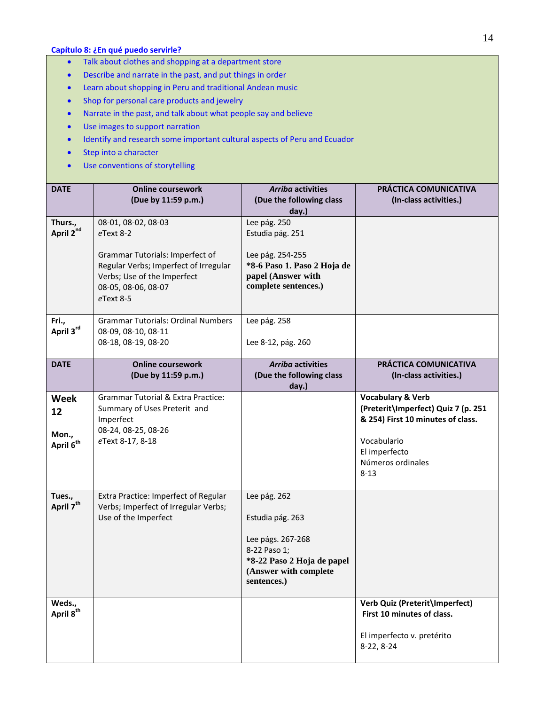- Talk about clothes and shopping at a department store
- Describe and narrate in the past, and put things in order
- Learn about shopping in Peru and traditional Andean music
- Shop for personal care products and jewelry
- Narrate in the past, and talk about what people say and believe
- Use images to support narration
- Identify and research some important cultural aspects of Peru and Ecuador
- Step into a character
- Use conventions of storytelling

| <b>DATE</b>                                         | <b>Online coursework</b><br>(Due by 11:59 p.m.)                                                                                                                                 | <b>Arriba activities</b><br>(Due the following class<br>day.)                                                                               | PRÁCTICA COMUNICATIVA<br>(In-class activities.)                                                                                                                           |
|-----------------------------------------------------|---------------------------------------------------------------------------------------------------------------------------------------------------------------------------------|---------------------------------------------------------------------------------------------------------------------------------------------|---------------------------------------------------------------------------------------------------------------------------------------------------------------------------|
| Thurs.,<br>April 2nd                                | 08-01, 08-02, 08-03<br>eText 8-2<br>Grammar Tutorials: Imperfect of<br>Regular Verbs; Imperfect of Irregular<br>Verbs; Use of the Imperfect<br>08-05, 08-06, 08-07<br>eText 8-5 | Lee pág. 250<br>Estudia pág. 251<br>Lee pág. 254-255<br>*8-6 Paso 1. Paso 2 Hoja de<br>papel (Answer with<br>complete sentences.)           |                                                                                                                                                                           |
| Fri.,<br>April 3rd                                  | <b>Grammar Tutorials: Ordinal Numbers</b><br>08-09, 08-10, 08-11<br>08-18, 08-19, 08-20                                                                                         | Lee pág. 258<br>Lee 8-12, pág. 260                                                                                                          |                                                                                                                                                                           |
| <b>DATE</b>                                         | <b>Online coursework</b><br>(Due by 11:59 p.m.)                                                                                                                                 | <b>Arriba activities</b><br>(Due the following class<br>day.)                                                                               | PRÁCTICA COMUNICATIVA<br>(In-class activities.)                                                                                                                           |
| <b>Week</b><br>12<br>Mon.,<br>April 6 <sup>th</sup> | <b>Grammar Tutorial &amp; Extra Practice:</b><br>Summary of Uses Preterit and<br>Imperfect<br>08-24, 08-25, 08-26<br>eText 8-17, 8-18                                           |                                                                                                                                             | <b>Vocabulary &amp; Verb</b><br>(Preterit\Imperfect) Quiz 7 (p. 251<br>& 254) First 10 minutes of class.<br>Vocabulario<br>El imperfecto<br>Números ordinales<br>$8 - 13$ |
| Tues.,<br>April 7 <sup>th</sup>                     | Extra Practice: Imperfect of Regular<br>Verbs; Imperfect of Irregular Verbs;<br>Use of the Imperfect                                                                            | Lee pág. 262<br>Estudia pág. 263<br>Lee págs. 267-268<br>8-22 Paso 1;<br>*8-22 Paso 2 Hoja de papel<br>(Answer with complete<br>sentences.) |                                                                                                                                                                           |
| Weds.,<br>April 8 <sup>th</sup>                     |                                                                                                                                                                                 |                                                                                                                                             | Verb Quiz (Preterit\Imperfect)<br>First 10 minutes of class.<br>El imperfecto v. pretérito<br>8-22, 8-24                                                                  |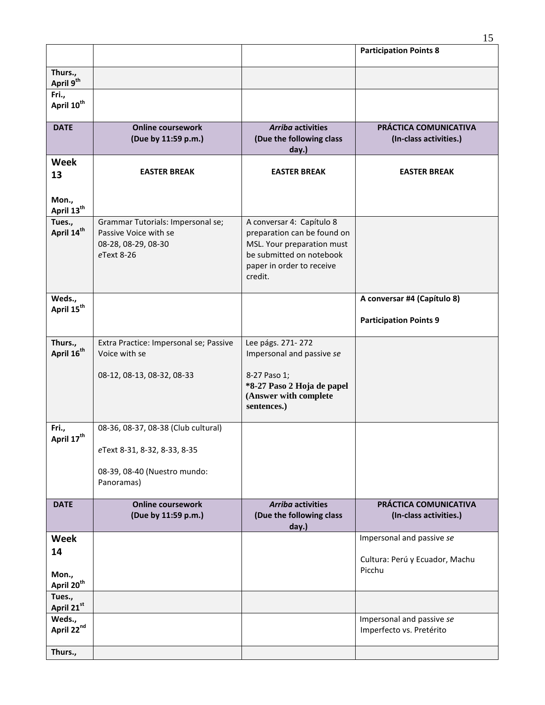|                                   |                                                                                                 |                                                                                                                                                            | <b>Participation Points 8</b>                   |
|-----------------------------------|-------------------------------------------------------------------------------------------------|------------------------------------------------------------------------------------------------------------------------------------------------------------|-------------------------------------------------|
| Thurs.,<br>April 9 <sup>th</sup>  |                                                                                                 |                                                                                                                                                            |                                                 |
| Fri.,<br>April 10 <sup>th</sup>   |                                                                                                 |                                                                                                                                                            |                                                 |
| <b>DATE</b>                       | <b>Online coursework</b><br>(Due by 11:59 p.m.)                                                 | <b>Arriba activities</b><br>(Due the following class<br>day.)                                                                                              | PRÁCTICA COMUNICATIVA<br>(In-class activities.) |
| Week<br>13<br>Mon.,               | <b>EASTER BREAK</b>                                                                             | <b>EASTER BREAK</b>                                                                                                                                        | <b>EASTER BREAK</b>                             |
| April 13 <sup>th</sup>            |                                                                                                 |                                                                                                                                                            |                                                 |
| Tues.,<br>April 14 <sup>th</sup>  | Grammar Tutorials: Impersonal se;<br>Passive Voice with se<br>08-28, 08-29, 08-30<br>eText 8-26 | A conversar 4: Capítulo 8<br>preparation can be found on<br>MSL. Your preparation must<br>be submitted on notebook<br>paper in order to receive<br>credit. |                                                 |
| Weds.,                            |                                                                                                 |                                                                                                                                                            | A conversar #4 (Capítulo 8)                     |
| April 15 <sup>th</sup>            |                                                                                                 |                                                                                                                                                            | <b>Participation Points 9</b>                   |
| Thurs.,<br>April 16 <sup>th</sup> | Extra Practice: Impersonal se; Passive<br>Voice with se                                         | Lee págs. 271-272<br>Impersonal and passive se                                                                                                             |                                                 |
|                                   | 08-12, 08-13, 08-32, 08-33                                                                      | 8-27 Paso 1;<br>*8-27 Paso 2 Hoja de papel<br>(Answer with complete<br>sentences.)                                                                         |                                                 |
| Fri.,<br>April 17 <sup>th</sup>   | 08-36, 08-37, 08-38 (Club cultural)<br>eText 8-31, 8-32, 8-33, 8-35                             |                                                                                                                                                            |                                                 |
|                                   | 08-39, 08-40 (Nuestro mundo:<br>Panoramas)                                                      |                                                                                                                                                            |                                                 |
| <b>DATE</b>                       | <b>Online coursework</b><br>(Due by 11:59 p.m.)                                                 | <b>Arriba activities</b><br>(Due the following class<br>day.)                                                                                              | PRÁCTICA COMUNICATIVA<br>(In-class activities.) |
| <b>Week</b>                       |                                                                                                 |                                                                                                                                                            | Impersonal and passive se                       |
| 14<br>Mon.,                       |                                                                                                 |                                                                                                                                                            | Cultura: Perú y Ecuador, Machu<br>Picchu        |
| April 20 <sup>th</sup><br>Tues.,  |                                                                                                 |                                                                                                                                                            |                                                 |
| April 21st<br>Weds.,              |                                                                                                 |                                                                                                                                                            | Impersonal and passive se                       |
| April 22nd                        |                                                                                                 |                                                                                                                                                            | Imperfecto vs. Pretérito                        |
| Thurs.,                           |                                                                                                 |                                                                                                                                                            |                                                 |